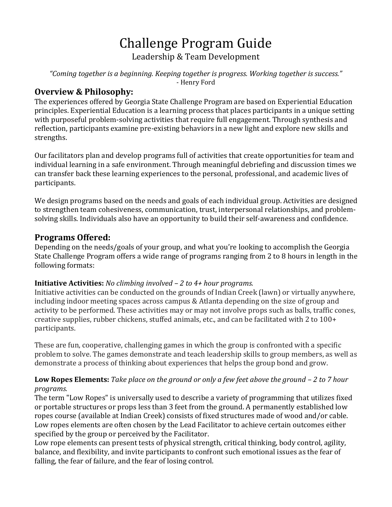# Challenge Program Guide Leadership & Team Development

*"Coming together is a beginning. Keeping together is progress. Working together is success."* - Henry Ford

# **Overview & Philosophy:**

The experiences offered by Georgia State Challenge Program are based on Experiential Education principles. Experiential Education is a learning process that places participants in a unique setting with purposeful problem-solving activities that require full engagement. Through synthesis and reflection, participants examine pre-existing behaviors in a new light and explore new skills and strengths.

Our facilitators plan and develop programs full of activities that create opportunities for team and individual learning in a safe environment. Through meaningful debriefing and discussion times we can transfer back these learning experiences to the personal, professional, and academic lives of participants.

We design programs based on the needs and goals of each individual group. Activities are designed to strengthen team cohesiveness, communication, trust, interpersonal relationships, and problemsolving skills. Individuals also have an opportunity to build their self-awareness and confidence.

# **Programs Offered:**

Depending on the needs/goals of your group, and what you're looking to accomplish the Georgia State Challenge Program offers a wide range of programs ranging from 2 to 8 hours in length in the following formats:

#### **Initiative Activities:** *No climbing involved – 2 to 4+ hour programs.*

Initiative activities can be conducted on the grounds of Indian Creek (lawn) or virtually anywhere, including indoor meeting spaces across campus & Atlanta depending on the size of group and activity to be performed. These activities may or may not involve props such as balls, traffic cones, creative supplies, rubber chickens, stuffed animals, etc., and can be facilitated with 2 to 100+ participants.

These are fun, cooperative, challenging games in which the group is confronted with a specific problem to solve. The games demonstrate and teach leadership skills to group members, as well as demonstrate a process of thinking about experiences that helps the group bond and grow.

#### **Low Ropes Elements:** *Take place on the ground or only a few feet above the ground - 2 to 7 hour programs.*

The term "Low Ropes" is universally used to describe a variety of programming that utilizes fixed or portable structures or props less than 3 feet from the ground. A permanently established low ropes course (available at Indian Creek) consists of fixed structures made of wood and/or cable. Low ropes elements are often chosen by the Lead Facilitator to achieve certain outcomes either specified by the group or perceived by the Facilitator.

Low rope elements can present tests of physical strength, critical thinking, body control, agility, balance, and flexibility, and invite participants to confront such emotional issues as the fear of falling, the fear of failure, and the fear of losing control.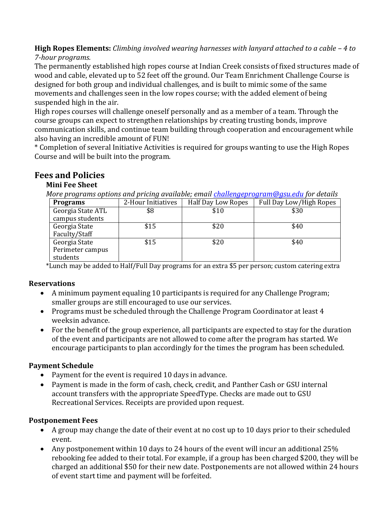**High Ropes Elements:** *Climbing involved wearing harnesses with lanyard attached to a cable – 4 to 7-hour programs.*

The permanently established high ropes course at Indian Creek consists of fixed structures made of wood and cable, elevated up to 52 feet off the ground. Our Team Enrichment Challenge Course is designed for both group and individual challenges, and is built to mimic some of the same movements and challenges seen in the low ropes course; with the added element of being suspended high in the air.

High ropes courses will challenge oneself personally and as a member of a team. Through the course groups can expect to strengthen relationships by creating trusting bonds, improve communication skills, and continue team building through cooperation and encouragement while also having an incredible amount of FUN!

\* Completion of several Initiative Activities is required for groups wanting to use the High Ropes Course and will be built into the program.

# **Fees and Policies**

#### **Mini Fee Sheet**

*More programs options and pricing available; emai[l challengeprogram@gsu.edu](mailto:challengeprogram@gsu.edu) for details*

| <b>Programs</b>   | 2-Hour Initiatives | <b>Half Day Low Ropes</b> | Full Day Low/High Ropes |
|-------------------|--------------------|---------------------------|-------------------------|
| Georgia State ATL | \$8                | \$10                      | \$30                    |
| campus students   |                    |                           |                         |
| Georgia State     | \$15               | \$20                      | \$40                    |
| Faculty/Staff     |                    |                           |                         |
| Georgia State     | \$15               | \$20                      | \$40                    |
| Perimeter campus  |                    |                           |                         |
| students          |                    |                           |                         |

\*Lunch may be added to Half/Full Day programs for an extra \$5 per person; custom catering extra

#### **Reservations**

- A minimum payment equaling 10 participants is required for any Challenge Program; smaller groups are still encouraged to use our services.
- Programs must be scheduled through the Challenge Program Coordinator at least 4 weeksin advance.
- For the benefit of the group experience, all participants are expected to stay for the duration of the event and participants are not allowed to come after the program has started. We encourage participants to plan accordingly for the times the program has been scheduled.

#### **Payment Schedule**

- Payment for the event is required 10 days in advance.
- Payment is made in the form of cash, check, credit, and Panther Cash or GSU internal account transfers with the appropriate SpeedType. Checks are made out to GSU Recreational Services. Receipts are provided upon request.

#### **Postponement Fees**

- A group may change the date of their event at no cost up to 10 days prior to their scheduled event.
- Any postponement within 10 days to 24 hours of the event will incur an additional 25% rebooking fee added to their total. For example, if a group has been charged \$200, they will be charged an additional \$50 for their new date. Postponements are not allowed within 24 hours of event start time and payment will be forfeited.